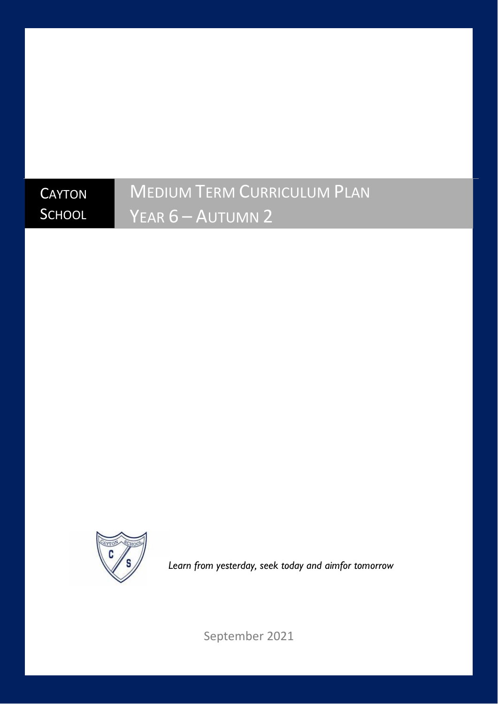## **CAYTON SCHOOL**

# MEDIUM TERM CURRICULUM PLAN YEAR 6 – AUTUMN 2



*Learn from yesterday, seek today and aimfor tomorrow*

September 2021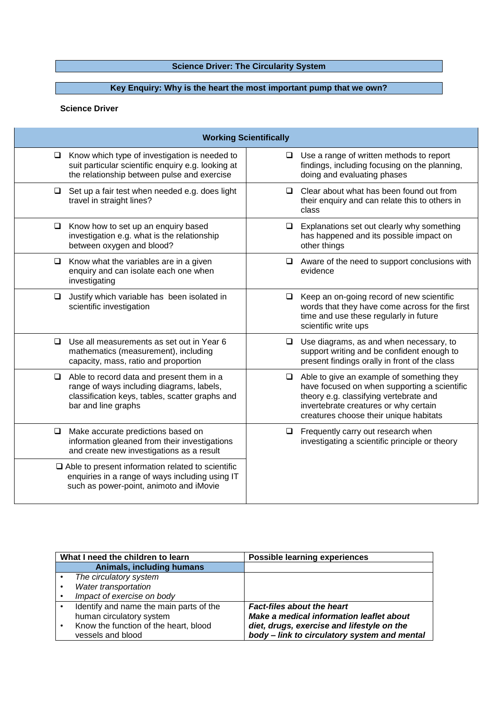## **Science Driver: The Circularity System**

## **Key Enquiry: Why is the heart the most important pump that we own?**

## **Science Driver**

| <b>Working Scientifically</b> |                                                                                                                                                                  |        |                                                                                                                                                                                                                        |
|-------------------------------|------------------------------------------------------------------------------------------------------------------------------------------------------------------|--------|------------------------------------------------------------------------------------------------------------------------------------------------------------------------------------------------------------------------|
| $\Box$                        | Know which type of investigation is needed to<br>suit particular scientific enquiry e.g. looking at<br>the relationship between pulse and exercise               | □      | Use a range of written methods to report<br>findings, including focusing on the planning,<br>doing and evaluating phases                                                                                               |
| ❏                             | Set up a fair test when needed e.g. does light<br>travel in straight lines?                                                                                      | □      | Clear about what has been found out from<br>their enquiry and can relate this to others in<br>class                                                                                                                    |
| □                             | Know how to set up an enquiry based<br>investigation e.g. what is the relationship<br>between oxygen and blood?                                                  | □      | Explanations set out clearly why something<br>has happened and its possible impact on<br>other things                                                                                                                  |
| $\Box$                        | Know what the variables are in a given<br>enquiry and can isolate each one when<br>investigating                                                                 | □      | Aware of the need to support conclusions with<br>evidence                                                                                                                                                              |
| ❏                             | Justify which variable has been isolated in<br>scientific investigation                                                                                          | $\Box$ | Keep an on-going record of new scientific<br>words that they have come across for the first<br>time and use these regularly in future<br>scientific write ups                                                          |
| ◻                             | Use all measurements as set out in Year 6<br>mathematics (measurement), including<br>capacity, mass, ratio and proportion                                        | □      | Use diagrams, as and when necessary, to<br>support writing and be confident enough to<br>present findings orally in front of the class                                                                                 |
| $\Box$                        | Able to record data and present them in a<br>range of ways including diagrams, labels,<br>classification keys, tables, scatter graphs and<br>bar and line graphs | □      | Able to give an example of something they<br>have focused on when supporting a scientific<br>theory e.g. classifying vertebrate and<br>invertebrate creatures or why certain<br>creatures choose their unique habitats |
| $\Box$                        | Make accurate predictions based on<br>information gleaned from their investigations<br>and create new investigations as a result                                 | □      | Frequently carry out research when<br>investigating a scientific principle or theory                                                                                                                                   |
|                               | $\Box$ Able to present information related to scientific<br>enquiries in a range of ways including using IT<br>such as power-point, animoto and iMovie           |        |                                                                                                                                                                                                                        |

| What I need the children to learn |                                         | <b>Possible learning experiences</b>         |
|-----------------------------------|-----------------------------------------|----------------------------------------------|
|                                   | <b>Animals, including humans</b>        |                                              |
|                                   | The circulatory system                  |                                              |
|                                   | Water transportation                    |                                              |
|                                   | Impact of exercise on body              |                                              |
|                                   | Identify and name the main parts of the | <b>Fact-files about the heart</b>            |
|                                   | human circulatory system                | Make a medical information leaflet about     |
|                                   | Know the function of the heart, blood   | diet, drugs, exercise and lifestyle on the   |
|                                   | vessels and blood                       | body - link to circulatory system and mental |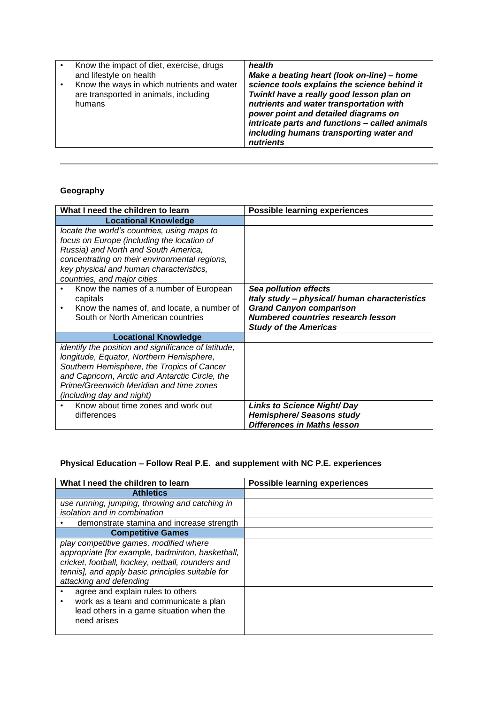| Know the impact of diet, exercise, drugs<br>and lifestyle on health<br>Know the ways in which nutrients and water<br>are transported in animals, including<br>humans | health<br>Make a beating heart (look on-line) - home<br>science tools explains the science behind it<br>Twinkl have a really good lesson plan on<br>nutrients and water transportation with<br>power point and detailed diagrams on<br>intricate parts and functions - called animals<br>including humans transporting water and<br>nutrients |
|----------------------------------------------------------------------------------------------------------------------------------------------------------------------|-----------------------------------------------------------------------------------------------------------------------------------------------------------------------------------------------------------------------------------------------------------------------------------------------------------------------------------------------|
|----------------------------------------------------------------------------------------------------------------------------------------------------------------------|-----------------------------------------------------------------------------------------------------------------------------------------------------------------------------------------------------------------------------------------------------------------------------------------------------------------------------------------------|

## **Geography**

| What I need the children to learn                                                                                                                                                                                                                                        | <b>Possible learning experiences</b>                                                                                                                                                  |
|--------------------------------------------------------------------------------------------------------------------------------------------------------------------------------------------------------------------------------------------------------------------------|---------------------------------------------------------------------------------------------------------------------------------------------------------------------------------------|
| <b>Locational Knowledge</b>                                                                                                                                                                                                                                              |                                                                                                                                                                                       |
| locate the world's countries, using maps to<br>focus on Europe (including the location of<br>Russia) and North and South America,<br>concentrating on their environmental regions,<br>key physical and human characteristics,<br>countries, and major cities             |                                                                                                                                                                                       |
| Know the names of a number of European<br>capitals<br>Know the names of, and locate, a number of<br>٠<br>South or North American countries                                                                                                                               | Sea pollution effects<br>Italy study - physical/ human characteristics<br><b>Grand Canyon comparison</b><br><b>Numbered countries research lesson</b><br><b>Study of the Americas</b> |
| <b>Locational Knowledge</b>                                                                                                                                                                                                                                              |                                                                                                                                                                                       |
| identify the position and significance of latitude,<br>longitude, Equator, Northern Hemisphere,<br>Southern Hemisphere, the Tropics of Cancer<br>and Capricorn, Arctic and Antarctic Circle, the<br>Prime/Greenwich Meridian and time zones<br>(including day and night) |                                                                                                                                                                                       |
| Know about time zones and work out<br>differences                                                                                                                                                                                                                        | <b>Links to Science Night/Day</b><br><b>Hemisphere/ Seasons study</b><br>Differences in Maths lesson                                                                                  |

## **Physical Education – Follow Real P.E. and supplement with NC P.E. experiences**

| What I need the children to learn                                                                                                                                                                                             | <b>Possible learning experiences</b> |
|-------------------------------------------------------------------------------------------------------------------------------------------------------------------------------------------------------------------------------|--------------------------------------|
| <b>Athletics</b>                                                                                                                                                                                                              |                                      |
| use running, jumping, throwing and catching in<br>isolation and in combination                                                                                                                                                |                                      |
| demonstrate stamina and increase strength                                                                                                                                                                                     |                                      |
| <b>Competitive Games</b>                                                                                                                                                                                                      |                                      |
| play competitive games, modified where<br>appropriate [for example, badminton, basketball,<br>cricket, football, hockey, netball, rounders and<br>tennis], and apply basic principles suitable for<br>attacking and defending |                                      |
| agree and explain rules to others<br>work as a team and communicate a plan<br>lead others in a game situation when the<br>need arises                                                                                         |                                      |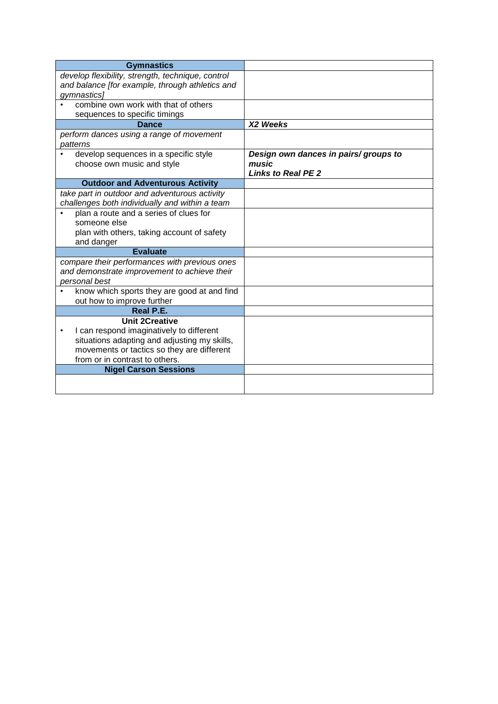| <b>Gymnastics</b>                                                         |                                      |
|---------------------------------------------------------------------------|--------------------------------------|
| develop flexibility, strength, technique, control                         |                                      |
| and balance [for example, through athletics and                           |                                      |
| gymnastics]                                                               |                                      |
| combine own work with that of others                                      |                                      |
| sequences to specific timings                                             |                                      |
| <b>Dance</b>                                                              | X <sub>2</sub> Weeks                 |
| perform dances using a range of movement<br>patterns                      |                                      |
| develop sequences in a specific style                                     | Design own dances in pairs/groups to |
| choose own music and style                                                | music                                |
|                                                                           | <b>Links to Real PE 2</b>            |
| <b>Outdoor and Adventurous Activity</b>                                   |                                      |
| take part in outdoor and adventurous activity                             |                                      |
| challenges both individually and within a team                            |                                      |
| plan a route and a series of clues for                                    |                                      |
| someone else                                                              |                                      |
| plan with others, taking account of safety                                |                                      |
| and danger                                                                |                                      |
| <b>Evaluate</b>                                                           |                                      |
| compare their performances with previous ones                             |                                      |
| and demonstrate improvement to achieve their                              |                                      |
| personal best                                                             |                                      |
| know which sports they are good at and find<br>out how to improve further |                                      |
| Real P.E.                                                                 |                                      |
| <b>Unit 2Creative</b>                                                     |                                      |
| I can respond imaginatively to different                                  |                                      |
| situations adapting and adjusting my skills,                              |                                      |
| movements or tactics so they are different                                |                                      |
| from or in contrast to others.                                            |                                      |
| <b>Nigel Carson Sessions</b>                                              |                                      |
|                                                                           |                                      |
|                                                                           |                                      |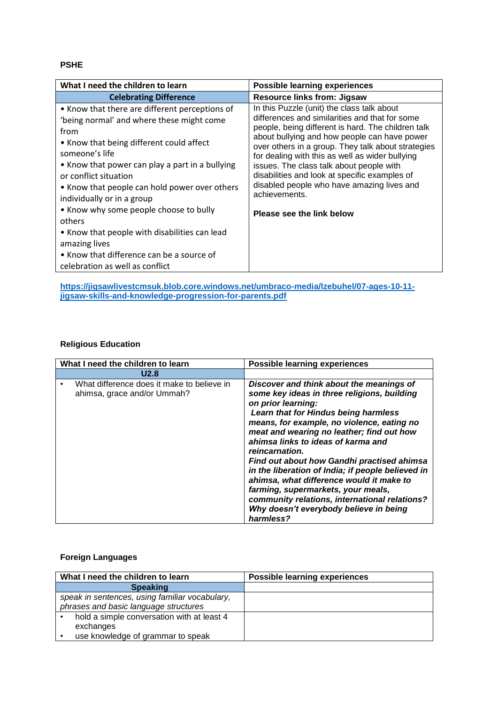#### **PSHE**

| What I need the children to learn                                                                                                                                                                                                                                                                                                                                                                                                                                                                                                  | <b>Possible learning experiences</b>                                                                                                                                                                                                                                                                                                                                                                                                                                                                 |
|------------------------------------------------------------------------------------------------------------------------------------------------------------------------------------------------------------------------------------------------------------------------------------------------------------------------------------------------------------------------------------------------------------------------------------------------------------------------------------------------------------------------------------|------------------------------------------------------------------------------------------------------------------------------------------------------------------------------------------------------------------------------------------------------------------------------------------------------------------------------------------------------------------------------------------------------------------------------------------------------------------------------------------------------|
| <b>Celebrating Difference</b>                                                                                                                                                                                                                                                                                                                                                                                                                                                                                                      | <b>Resource links from: Jigsaw</b>                                                                                                                                                                                                                                                                                                                                                                                                                                                                   |
| • Know that there are different perceptions of<br>'being normal' and where these might come<br>from<br>• Know that being different could affect<br>someone's life<br>• Know that power can play a part in a bullying<br>or conflict situation<br>• Know that people can hold power over others<br>individually or in a group<br>• Know why some people choose to bully<br>others<br>• Know that people with disabilities can lead<br>amazing lives<br>• Know that difference can be a source of<br>celebration as well as conflict | In this Puzzle (unit) the class talk about<br>differences and similarities and that for some<br>people, being different is hard. The children talk<br>about bullying and how people can have power<br>over others in a group. They talk about strategies<br>for dealing with this as well as wider bullying<br>issues. The class talk about people with<br>disabilities and look at specific examples of<br>disabled people who have amazing lives and<br>achievements.<br>Please see the link below |

**[https://jigsawlivestcmsuk.blob.core.windows.net/umbraco-media/lzebuhel/07-ages-10-11](https://jigsawlivestcmsuk.blob.core.windows.net/umbraco-media/lzebuhel/07-ages-10-11-jigsaw-skills-and-knowledge-progression-for-parents.pdf) [jigsaw-skills-and-knowledge-progression-for-parents.pdf](https://jigsawlivestcmsuk.blob.core.windows.net/umbraco-media/lzebuhel/07-ages-10-11-jigsaw-skills-and-knowledge-progression-for-parents.pdf)**

## **Religious Education**

| What I need the children to learn                                         | <b>Possible learning experiences</b>                                                                                                                                                                                                                                                                                                                                                                                                                                                                                                                                                                  |
|---------------------------------------------------------------------------|-------------------------------------------------------------------------------------------------------------------------------------------------------------------------------------------------------------------------------------------------------------------------------------------------------------------------------------------------------------------------------------------------------------------------------------------------------------------------------------------------------------------------------------------------------------------------------------------------------|
| U2.8                                                                      |                                                                                                                                                                                                                                                                                                                                                                                                                                                                                                                                                                                                       |
| What difference does it make to believe in<br>ahimsa, grace and/or Ummah? | Discover and think about the meanings of<br>some key ideas in three religions, building<br>on prior learning:<br>Learn that for Hindus being harmless<br>means, for example, no violence, eating no<br>meat and wearing no leather; find out how<br>ahimsa links to ideas of karma and<br>reincarnation.<br>Find out about how Gandhi practised ahimsa<br>in the liberation of India; if people believed in<br>ahimsa, what difference would it make to<br>farming, supermarkets, your meals,<br>community relations, international relations?<br>Why doesn't everybody believe in being<br>harmless? |

#### **Foreign Languages**

| What I need the children to learn              | <b>Possible learning experiences</b> |
|------------------------------------------------|--------------------------------------|
| <b>Speaking</b>                                |                                      |
| speak in sentences, using familiar vocabulary, |                                      |
| phrases and basic language structures          |                                      |
| hold a simple conversation with at least 4     |                                      |
| exchanges                                      |                                      |
| use knowledge of grammar to speak              |                                      |